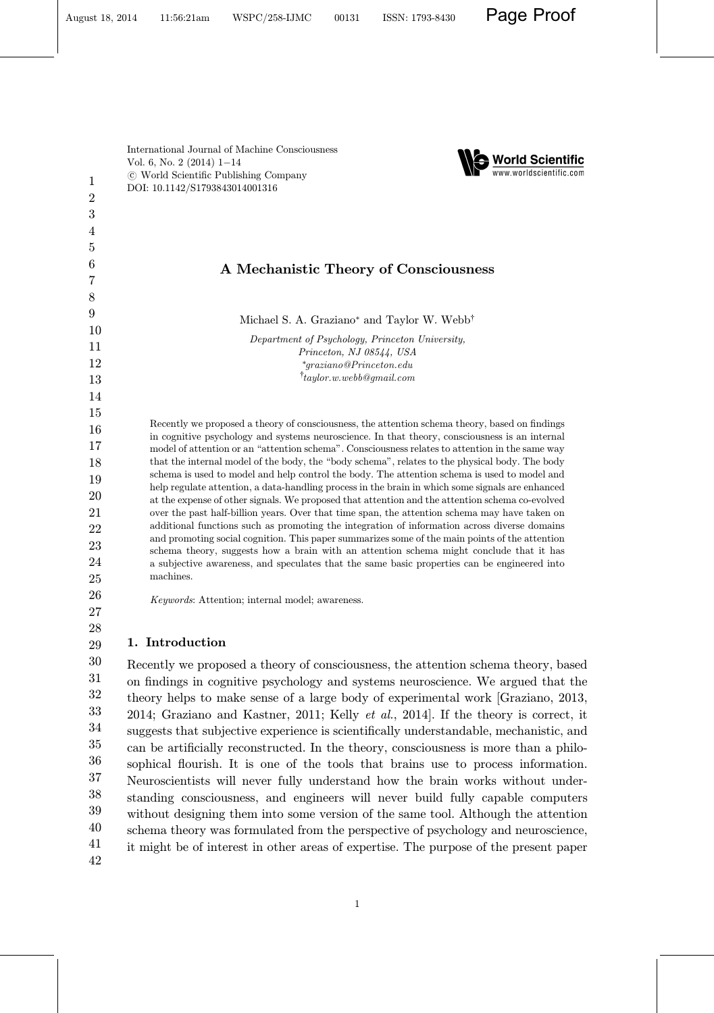International Journal of Machine Consciousness **World Scientific** Vol. 6, No. 2 (2014)  $1-14$ www.worldscientific.com  $\odot$  World Scientific Publishing Company DOI[: 10.1142/S1793843014001316](http://dx.doi.org/10.1142/S1793843014001316) A Mechanistic Theory of Consciousness Michael S. A. Graziano\* and Taylor W. Webb† 10 Department of Psychology, Princeton University, 11 Princeton, NJ 08544, USA 12 \*graziano@Princeton.edu † taylor.w.webb@gmail.com 13 14 15 Recently we proposed a theory of consciousness, the attention schema theory, based on findings 16 in cognitive psychology and systems neuroscience. In that theory, consciousness is an internal 17 model of attention or an "attention schema". Consciousness relates to attention in the same way that the internal model of the body, the \body schema", relates to the physical body. The body 18 schema is used to model and help control the body. The attention schema is used to model and 19 help regulate attention, a data-handling process in the brain in which some signals are enhanced 20 at the expense of other signals. We proposed that attention and the attention schema co-evolved 21 over the past half-billion years. Over that time span, the attention schema may have taken on additional functions such as promoting the integration of information across diverse domains 22 and promoting social cognition. This paper summarizes some of the main points of the attention 23 schema theory, suggests how a brain with an attention schema might conclude that it has 24 a subjective awareness, and speculates that the same basic properties can be engineered into machines. 25 26 Keywords: Attention; internal model; awareness. 27 28 1. Introduction 29 30 Recently we proposed a theory of consciousness, the attention schema theory, based 31 on findings in cognitive psychology and systems neuroscience. We argued that the 32 theory helps to make sense of a large body of experimental work [[Graziano](#page-11-0), [2013,](#page-11-0) 33 [2014](#page-11-0); [Graziano and Kastner](#page-11-0), [2011](#page-11-0); Kelly [et al.](#page-12-0), [2014\]](#page-12-0). If the theory is correct, it

suggests that subjective experience is scientifically understandable, mechanistic, and can be artificially reconstructed. In the theory, consciousness is more than a philosophical flourish. It is one of the tools that brains use to process information. Neuroscientists will never fully understand how the brain works without understanding consciousness, and engineers will never build fully capable computers without designing them into some version of the same tool. Although the attention schema theory was formulated from the perspective of psychology and neuroscience, it might be of interest in other areas of expertise. The purpose of the present paper 34 35 36 37 38 39 40 41 42

1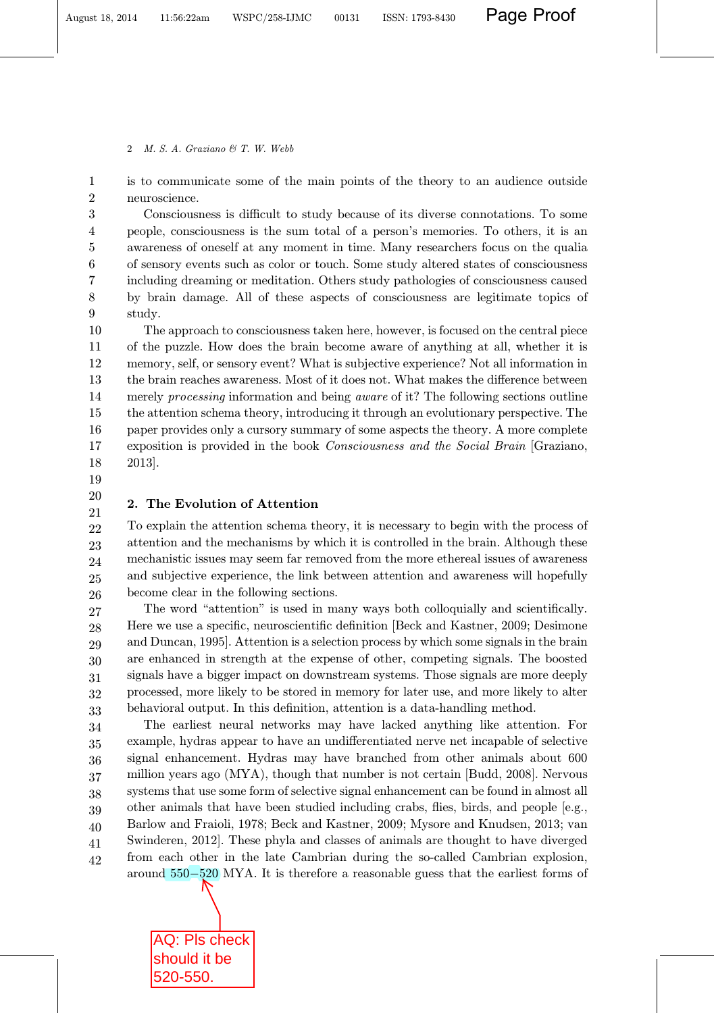is to communicate some of the main points of the theory to an audience outside neuroscience. 1 2

Consciousness is difficult to study because of its diverse connotations. To some people, consciousness is the sum total of a person's memories. To others, it is an awareness of oneself at any moment in time. Many researchers focus on the qualia of sensory events such as color or touch. Some study altered states of consciousness including dreaming or meditation. Others study pathologies of consciousness caused by brain damage. All of these aspects of consciousness are legitimate topics of study. 3 4 5 6 7 8 9

The approach to consciousness taken here, however, is focused on the central piece of the puzzle. How does the brain become aware of anything at all, whether it is memory, self, or sensory event? What is subjective experience? Not all information in the brain reaches awareness. Most of it does not. What makes the difference between merely *processing* information and being *aware* of it? The following sections outline the attention schema theory, introducing it through an evolutionary perspective. The paper provides only a cursory summary of some aspects the theory. A more complete exposition is provided in the book Consciousness and the Social Brain [\[Graziano,](#page-11-0) [2013](#page-11-0)]. 10 11 12 13 14 15 16 17 18

19

### 2. The Evolution of Attention 20 21

To explain the attention schema theory, it is necessary to begin with the process of attention and the mechanisms by which it is controlled in the brain. Although these mechanistic issues may seem far removed from the more ethereal issues of awareness and subjective experience, the link between attention and awareness will hopefully become clear in the following sections. 22 23 24 25 26

The word "attention" is used in many ways both colloquially and scientifically. Here we use a specific, neuroscientific definition [\[Beck and Kastner](#page-10-0), [2009;](#page-10-0) [Desimone](#page-11-0) [and Duncan, 1995\]](#page-11-0). Attention is a selection process by which some signals in the brain are enhanced in strength at the expense of other, competing signals. The boosted signals have a bigger impact on downstream systems. Those signals are more deeply processed, more likely to be stored in memory for later use, and more likely to alter behavioral output. In this definition, attention is a data-handling method. 27 28 29 30 31 32 33

The earliest neural networks may have lacked anything like attention. For example, hydras appear to have an undifferentiated nerve net incapable of selective signal enhancement. Hydras may have branched from other animals about 600 million years ago (MYA), though that number is not certain [\[Budd, 2008\]](#page-11-0). Nervous systems that use some form of selective signal enhancement can be found in almost all other animals that have been studied including crabs, flies, birds, and people [e.g., [Barlow and Fraioli](#page-10-0), [1978](#page-10-0); [Beck and Kastner](#page-10-0), [2009;](#page-10-0) [Mysore and Knudsen](#page-12-0), [2013;](#page-12-0) [van](#page-13-0) [Swinderen, 2012\]](#page-13-0). These phyla and classes of animals are thought to have diverged from each other in the late Cambrian during the so-called Cambrian explosion, around  $550-520$  MYA. It is therefore a reasonable guess that the earliest forms of 34 35 36 37 38 39 40 41 42

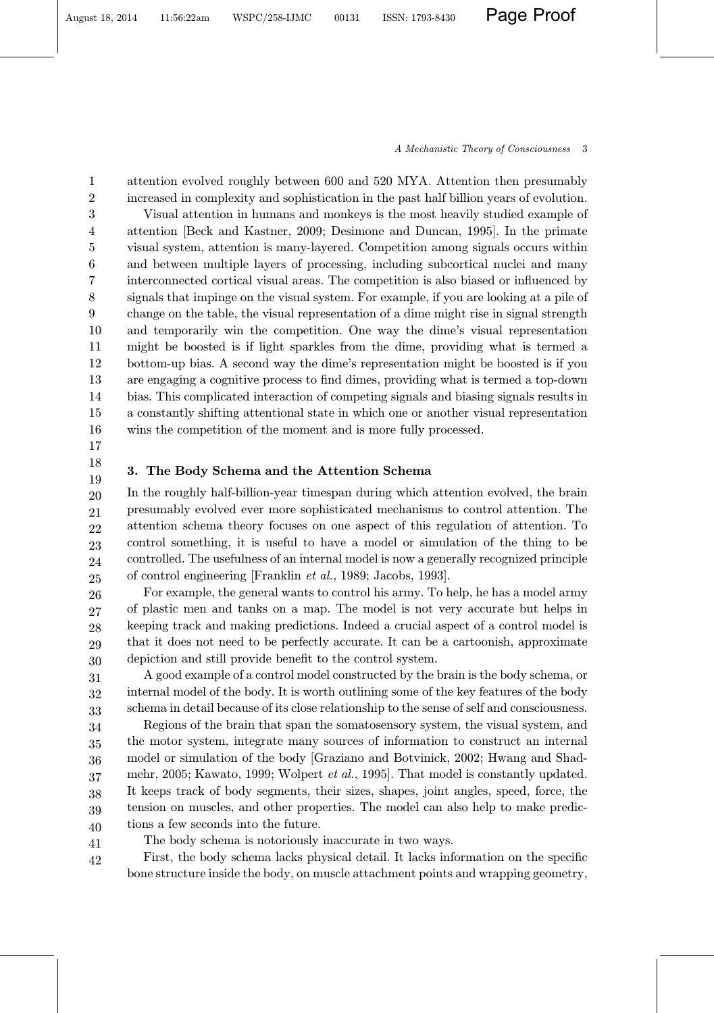A Mechanistic Theory of Consciousness 3

attention evolved roughly between 600 and 520 MYA. Attention then presumably increased in complexity and sophistication in the past half billion years of evolution. Visual attention in humans and monkeys is the most heavily studied example of attention [[Beck and Kastner, 2009;](#page-10-0) [Desimone and Duncan](#page-11-0), [1995\]](#page-11-0). In the primate visual system, attention is many-layered. Competition among signals occurs within and between multiple layers of processing, including subcortical nuclei and many interconnected cortical visual areas. The competition is also biased or influenced by signals that impinge on the visual system. For example, if you are looking at a pile of change on the table, the visual representation of a dime might rise in signal strength and temporarily win the competition. One way the dime's visual representation might be boosted is if light sparkles from the dime, providing what is termed a bottom-up bias. A second way the dime's representation might be boosted is if you are engaging a cognitive process to find dimes, providing what is termed a top-down bias. This complicated interaction of competing signals and biasing signals results in a constantly shifting attentional state in which one or another visual representation wins the competition of the moment and is more fully processed. 1 2 3 4 5 6 7 8 9 10 11 12 13 14 15 16

17 18

19

42

### 3. The Body Schema and the Attention Schema

In the roughly half-billion-year timespan during which attention evolved, the brain presumably evolved ever more sophisticated mechanisms to control attention. The attention schema theory focuses on one aspect of this regulation of attention. To control something, it is useful to have a model or simulation of the thing to be controlled. The usefulness of an internal model is now a generally recognized principle of control engineering [[Franklin](#page-11-0) et al., [1989](#page-11-0); [Jacobs, 1993\]](#page-11-0). 20 21 22 23 24 25

For example, the general wants to control his army. To help, he has a model army of plastic men and tanks on a map. The model is not very accurate but helps in keeping track and making predictions. Indeed a crucial aspect of a control model is that it does not need to be perfectly accurate. It can be a cartoonish, approximate depiction and still provide benefit to the control system. 26 27 28 29 30

A good example of a control model constructed by the brain is the body schema, or internal model of the body. It is worth outlining some of the key features of the body schema in detail because of its close relationship to the sense of self and consciousness. 31 32 33

Regions of the brain that span the somatosensory system, the visual system, and the motor system, integrate many sources of information to construct an internal model or simulation of the body [\[Graziano and Botvinick](#page-11-0), [2002](#page-11-0); [Hwang and Shad](#page-11-0)[mehr](#page-11-0), [2005;](#page-11-0) [Kawato, 1999;](#page-12-0) [Wolpert](#page-13-0) et al., [1995\]](#page-13-0). That model is constantly updated. It keeps track of body segments, their sizes, shapes, joint angles, speed, force, the tension on muscles, and other properties. The model can also help to make predictions a few seconds into the future. 34 35 36 37 38 39 40

The body schema is notoriously inaccurate in two ways. 41

First, the body schema lacks physical detail. It lacks information on the specific bone structure inside the body, on muscle attachment points and wrapping geometry,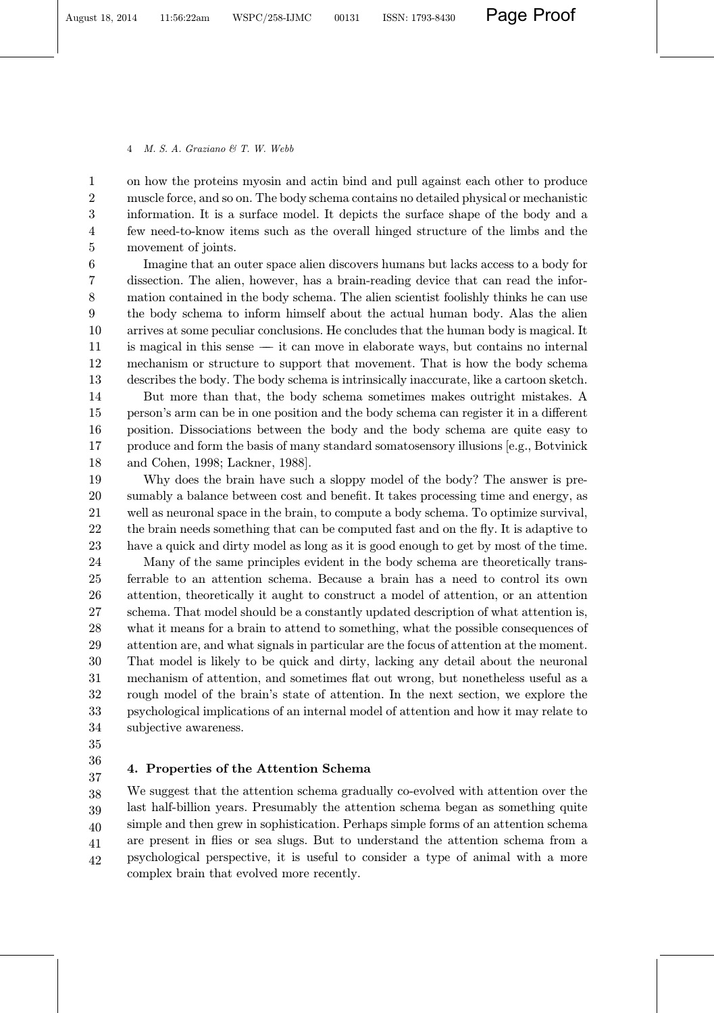on how the proteins myosin and actin bind and pull against each other to produce muscle force, and so on. The body schema contains no detailed physical or mechanistic information. It is a surface model. It depicts the surface shape of the body and a few need-to-know items such as the overall hinged structure of the limbs and the movement of joints. 1 2 3 4 5

Imagine that an outer space alien discovers humans but lacks access to a body for dissection. The alien, however, has a brain-reading device that can read the information contained in the body schema. The alien scientist foolishly thinks he can use the body schema to inform himself about the actual human body. Alas the alien arrives at some peculiar conclusions. He concludes that the human body is magical. It is magical in this sense  $\frac{1}{\sqrt{1-\frac{1}{\sqrt{1-\epsilon}}}}$  it can move in elaborate ways, but contains no internal mechanism or structure to support that movement. That is how the body schema describes the body. The body schema is intrinsically inaccurate, like a cartoon sketch. 6 7 8 9 10 11 12 13

But more than that, the body schema sometimes makes outright mistakes. A person's arm can be in one position and the body schema can register it in a different position. Dissociations between the body and the body schema are quite easy to produce and form the basis of many standard somatosensory illusions [e.g., [Botvinick](#page-10-0) [and Cohen, 1998;](#page-10-0) [Lackner](#page-12-0), [1988](#page-12-0)]. 14 15 16 17 18

Why does the brain have such a sloppy model of the body? The answer is presumably a balance between cost and benefit. It takes processing time and energy, as well as neuronal space in the brain, to compute a body schema. To optimize survival, the brain needs something that can be computed fast and on the fly. It is adaptive to have a quick and dirty model as long as it is good enough to get by most of the time. 19 20 21 22 23

Many of the same principles evident in the body schema are theoretically transferrable to an attention schema. Because a brain has a need to control its own attention, theoretically it aught to construct a model of attention, or an attention schema. That model should be a constantly updated description of what attention is, what it means for a brain to attend to something, what the possible consequences of attention are, and what signals in particular are the focus of attention at the moment. That model is likely to be quick and dirty, lacking any detail about the neuronal mechanism of attention, and sometimes flat out wrong, but nonetheless useful as a rough model of the brain's state of attention. In the next section, we explore the psychological implications of an internal model of attention and how it may relate to subjective awareness. 24 25 26 27 28 29 30 31 32 33 34

35 36

37

## 4. Properties of the Attention Schema

We suggest that the attention schema gradually co-evolved with attention over the last half-billion years. Presumably the attention schema began as something quite simple and then grew in sophistication. Perhaps simple forms of an attention schema are present in flies or sea slugs. But to understand the attention schema from a psychological perspective, it is useful to consider a type of animal with a more complex brain that evolved more recently. 38 39 40 41 42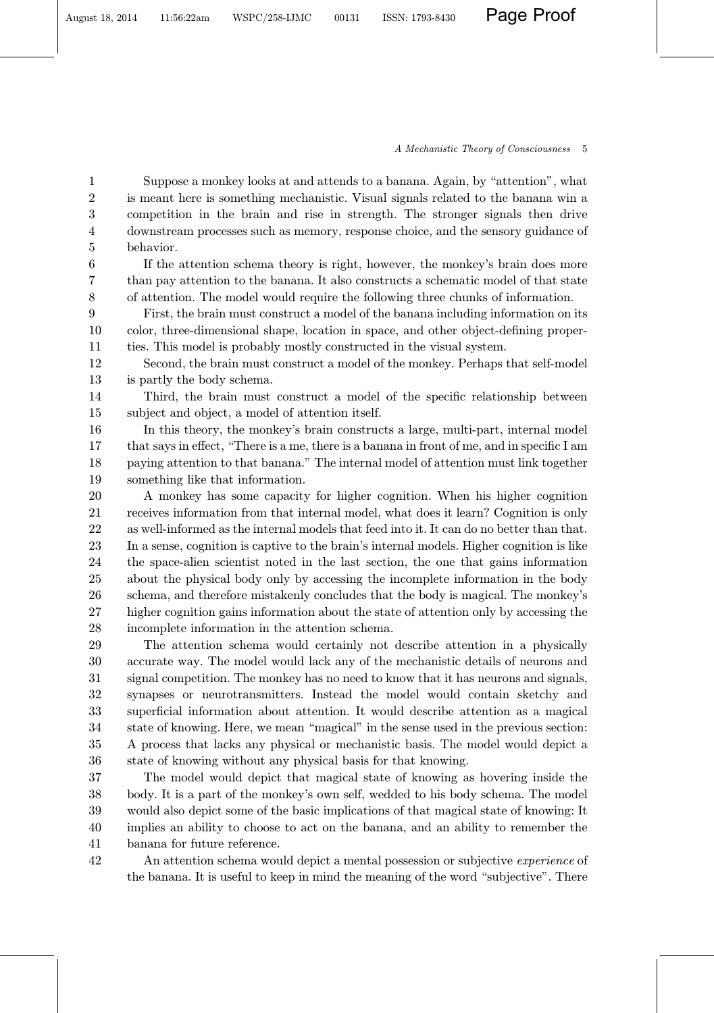August 18, 2014 11:56:22am WSPC/258-IJMC 00131 ISSN: 1793-8430 **Page Proof** 

6 7 8

42

A Mechanistic Theory of Consciousness 5

Suppose a monkey looks at and attends to a banana. Again, by "attention", what is meant here is something mechanistic. Visual signals related to the banana win a competition in the brain and rise in strength. The stronger signals then drive downstream processes such as memory, response choice, and the sensory guidance of behavior. 1 2 3 4 5

If the attention schema theory is right, however, the monkey's brain does more than pay attention to the banana. It also constructs a schematic model of that state of attention. The model would require the following three chunks of information.

First, the brain must construct a model of the banana including information on its color, three-dimensional shape, location in space, and other object-defining properties. This model is probably mostly constructed in the visual system. 9 10 11

Second, the brain must construct a model of the monkey. Perhaps that self-model is partly the body schema. 12 13

Third, the brain must construct a model of the specific relationship between subject and object, a model of attention itself. 14 15

In this theory, the monkey's brain constructs a large, multi-part, internal model that says in effect, "There is a me, there is a banana in front of me, and in specific I am paying attention to that banana." The internal model of attention must link together something like that information. 16 17 18 19

A monkey has some capacity for higher cognition. When his higher cognition receives information from that internal model, what does it learn? Cognition is only as well-informed as the internal models that feed into it. It can do no better than that. In a sense, cognition is captive to the brain's internal models. Higher cognition is like the space-alien scientist noted in the last section, the one that gains information about the physical body only by accessing the incomplete information in the body schema, and therefore mistakenly concludes that the body is magical. The monkey's higher cognition gains information about the state of attention only by accessing the incomplete information in the attention schema. 20 21 22 23 24 25 26 27 28

The attention schema would certainly not describe attention in a physically accurate way. The model would lack any of the mechanistic details of neurons and signal competition. The monkey has no need to know that it has neurons and signals, synapses or neurotransmitters. Instead the model would contain sketchy and superficial information about attention. It would describe attention as a magical state of knowing. Here, we mean "magical" in the sense used in the previous section: A process that lacks any physical or mechanistic basis. The model would depict a state of knowing without any physical basis for that knowing. 29 30 31 32 33 34 35 36

The model would depict that magical state of knowing as hovering inside the body. It is a part of the monkey's own self, wedded to his body schema. The model would also depict some of the basic implications of that magical state of knowing: It implies an ability to choose to act on the banana, and an ability to remember the banana for future reference. 37 38 39 40 41

An attention schema would depict a mental possession or subjective *experience* of the banana. It is useful to keep in mind the meaning of the word "subjective". There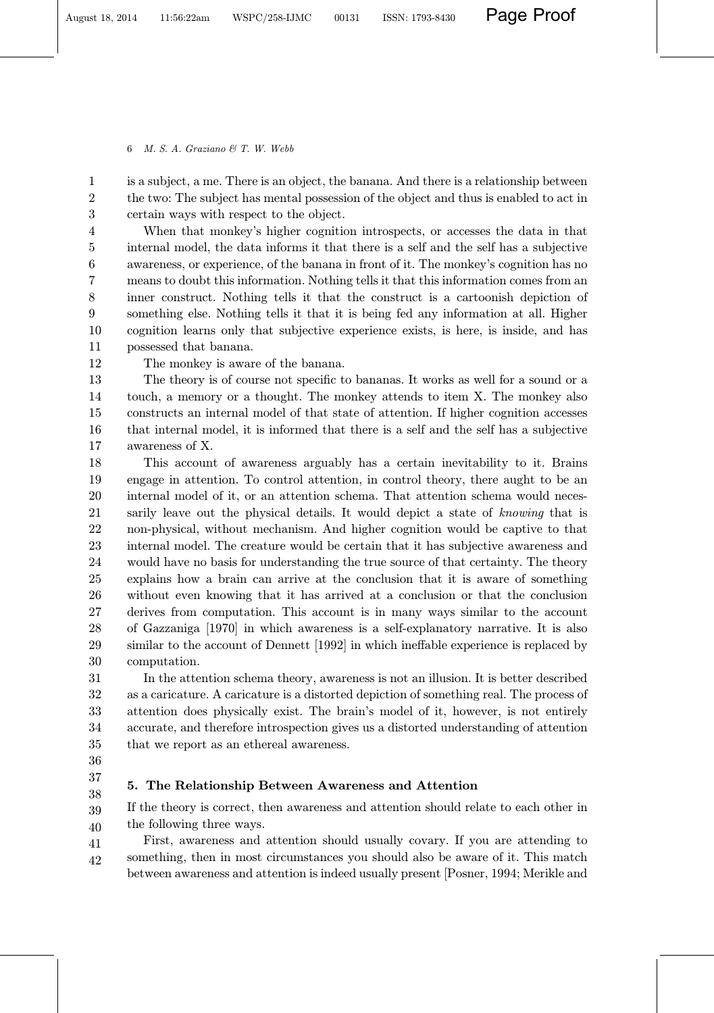is a subject, a me. There is an object, the banana. And there is a relationship between the two: The subject has mental possession of the object and thus is enabled to act in certain ways with respect to the object. 1 2 3

When that monkey's higher cognition introspects, or accesses the data in that internal model, the data informs it that there is a self and the self has a subjective awareness, or experience, of the banana in front of it. The monkey's cognition has no means to doubt this information. Nothing tells it that this information comes from an inner construct. Nothing tells it that the construct is a cartoonish depiction of something else. Nothing tells it that it is being fed any information at all. Higher cognition learns only that subjective experience exists, is here, is inside, and has possessed that banana. 4 5 6 7 8 9 10 11

12

The monkey is aware of the banana.

The theory is of course not specific to bananas. It works as well for a sound or a touch, a memory or a thought. The monkey attends to item X. The monkey also constructs an internal model of that state of attention. If higher cognition accesses that internal model, it is informed that there is a self and the self has a subjective awareness of X. 13 14 15 16 17

This account of awareness arguably has a certain inevitability to it. Brains engage in attention. To control attention, in control theory, there aught to be an internal model of it, or an attention schema. That attention schema would necessarily leave out the physical details. It would depict a state of knowing that is non-physical, without mechanism. And higher cognition would be captive to that internal model. The creature would be certain that it has subjective awareness and would have no basis for understanding the true source of that certainty. The theory explains how a brain can arrive at the conclusion that it is aware of something without even knowing that it has arrived at a conclusion or that the conclusion derives from computation. This account is in many ways similar to the account of [Gazzaniga](#page-11-0) [[1970](#page-11-0)] in which awareness is a self-explanatory narrative. It is also similar to the account of [Dennett](#page-11-0)  $[1992]$  $[1992]$  in which ineffable experience is replaced by computation. 18 19 20 21 22 23 24 25 26 27 28 29 30

In the attention schema theory, awareness is not an illusion. It is better described as a caricature. A caricature is a distorted depiction of something real. The process of attention does physically exist. The brain's model of it, however, is not entirely accurate, and therefore introspection gives us a distorted understanding of attention that we report as an ethereal awareness. 31 32 33 34 35

36 37

38

# 5. The Relationship Between Awareness and Attention

If the theory is correct, then awareness and attention should relate to each other in the following three ways. 39 40

First, awareness and attention should usually covary. If you are attending to something, then in most circumstances you should also be aware of it. This match between awareness and attention is indeed usually present [[Posner, 1994; Merikle and](#page-12-0) 41 42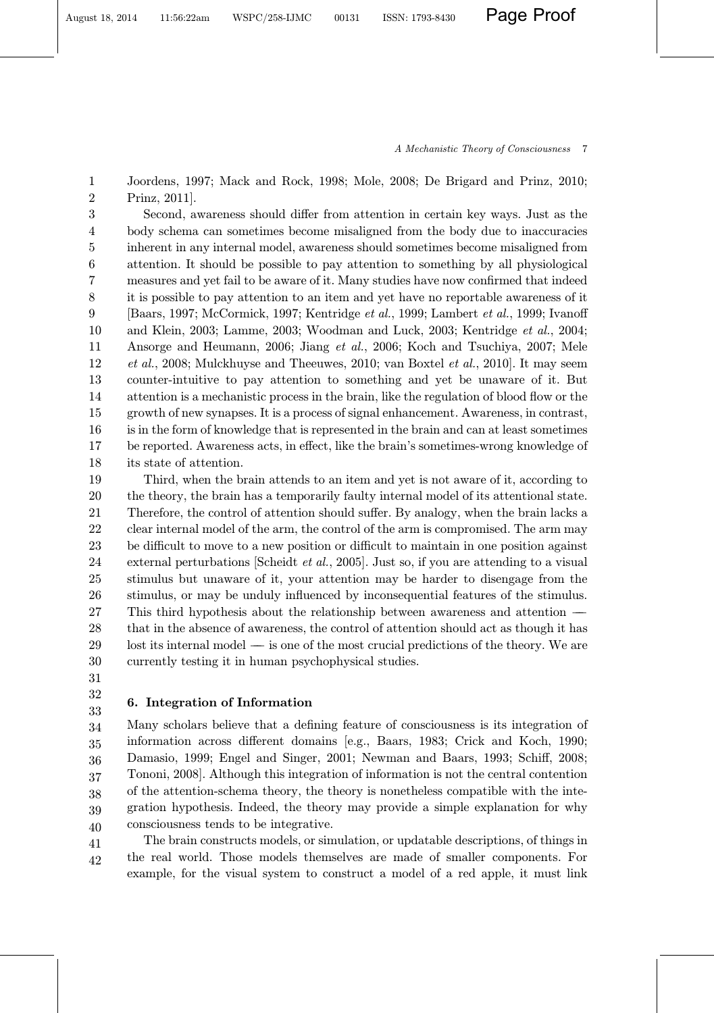August 18, 2014 11:56:22am WSPC/258-IJMC 00131 ISSN: 1793-8430 **Page Proof** 

A Mechanistic Theory of Consciousness 7

[Joordens](#page-12-0), [1997; Mack and Rock](#page-12-0), [1998](#page-12-0); [Mole, 2008;](#page-12-0) [De Brigard and Prinz](#page-11-0), [2010;](#page-11-0) [Prinz](#page-12-0), [2011](#page-12-0)]. 1 2

Second, awareness should differ from attention in certain key ways. Just as the body schema can sometimes become misaligned from the body due to inaccuracies inherent in any internal model, awareness should sometimes become misaligned from attention. It should be possible to pay attention to something by all physiological measures and yet fail to be aware of it. Many studies have now confirmed that indeed it is possible to pay attention to an item and yet have no reportable awareness of it [[Baars, 1997](#page-10-0); [McCormick, 1997](#page-12-0); [Kentridge](#page-12-0)  $et al., 1999$  $et al., 1999$ ; [Lambert](#page-12-0)  $et al., 1999$ ; Ivanoff [and Klein, 2003](#page-11-0); [Lamme, 2003](#page-12-0); [Woodman and Luck, 2003](#page-13-0); [Kentridge](#page-12-0) et al., [2004;](#page-12-0) [Ansorge and Heumann](#page-10-0), [2006](#page-10-0); [Jiang](#page-11-0) et al., [2006](#page-11-0); [Koch and Tsuchiya, 2007; Mele](#page-12-0) [et al.](#page-12-0), [2008; Mulckhuyse and Theeuwes](#page-12-0), [2010](#page-12-0); [van Boxtel](#page-13-0) et al., [2010\]](#page-13-0). It may seem counter-intuitive to pay attention to something and yet be unaware of it. But attention is a mechanistic process in the brain, like the regulation of blood flow or the growth of new synapses. It is a process of signal enhancement. Awareness, in contrast, is in the form of knowledge that is represented in the brain and can at least sometimes be reported. Awareness acts, in effect, like the brain's sometimes-wrong knowledge of its state of attention. 3 4 5 6 7 8 9 10 11 12 13 14 15 16 17 18

Third, when the brain attends to an item and yet is not aware of it, according to the theory, the brain has a temporarily faulty internal model of its attentional state. Therefore, the control of attention should suffer. By analogy, when the brain lacks a clear internal model of the arm, the control of the arm is compromised. The arm may be difficult to move to a new position or difficult to maintain in one position against external perturbations [\[Scheidt](#page-12-0) et al., [2005\]](#page-12-0). Just so, if you are attending to a visual stimulus but unaware of it, your attention may be harder to disengage from the stimulus, or may be unduly influenced by inconsequential features of the stimulus. This third hypothesis about the relationship between awareness and attention that in the absence of awareness, the control of attention should act as though it has lost its internal model — is one of the most crucial predictions of the theory. We are currently testing it in human psychophysical studies. 19 20 21 22 23 24 25 26 27 28 29 30

31 32

33

# 6. Integration of Information

Many scholars believe that a defining feature of consciousness is its integration of information across different domains  $[e.g.,$  [Baars](#page-10-0), [1983](#page-10-0); [Crick and Koch](#page-11-0), [1990;](#page-11-0) [Damasio, 1999; Engel and Singer, 2001](#page-11-0); Newman and Baars, 1993; Schiff, [2008;](#page-12-0) [Tononi](#page-13-0), [2008](#page-13-0)]. Although this integration of information is not the central contention of the attention-schema theory, the theory is nonetheless compatible with the integration hypothesis. Indeed, the theory may provide a simple explanation for why consciousness tends to be integrative. 34 35 36 37 38 39 40

The brain constructs models, or simulation, or updatable descriptions, of things in the real world. Those models themselves are made of smaller components. For example, for the visual system to construct a model of a red apple, it must link 41 42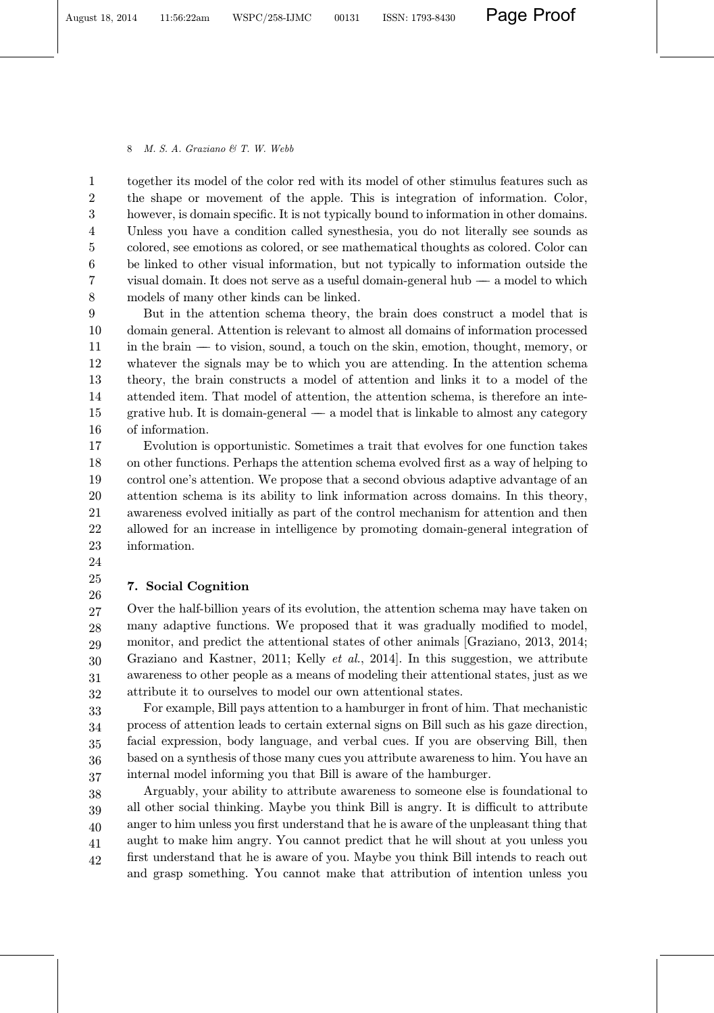together its model of the color red with its model of other stimulus features such as the shape or movement of the apple. This is integration of information. Color, however, is domain specific. It is not typically bound to information in other domains. Unless you have a condition called synesthesia, you do not literally see sounds as colored, see emotions as colored, or see mathematical thoughts as colored. Color can be linked to other visual information, but not typically to information outside the visual domain. It does not serve as a useful domain-general hub  $-$  a model to which models of many other kinds can be linked. 1 2 3 4 5 6 7 8

But in the attention schema theory, the brain does construct a model that is domain general. Attention is relevant to almost all domains of information processed in the brain  $\sim$  to vision, sound, a touch on the skin, emotion, thought, memory, or whatever the signals may be to which you are attending. In the attention schema theory, the brain constructs a model of attention and links it to a model of the attended item. That model of attention, the attention schema, is therefore an integrative hub. It is domain-general  $\_\_$  a model that is linkable to almost any category of information. 9 10 11 12 13 14 15 16

Evolution is opportunistic. Sometimes a trait that evolves for one function takes on other functions. Perhaps the attention schema evolved first as a way of helping to control one's attention. We propose that a second obvious adaptive advantage of an attention schema is its ability to link information across domains. In this theory, awareness evolved initially as part of the control mechanism for attention and then allowed for an increase in intelligence by promoting domain-general integration of information. 17 18 19 20 21 22 23

24

#### 7. Social Cognition 25 26

Over the half-billion years of its evolution, the attention schema may have taken on many adaptive functions. We proposed that it was gradually modified to model, monitor, and predict the attentional states of other animals [\[Graziano](#page-11-0), [2013](#page-11-0), [2014;](#page-11-0) [Graziano and Kastner, 2011;](#page-11-0) Kelly [et al.](#page-12-0), [2014](#page-12-0)]. In this suggestion, we attribute awareness to other people as a means of modeling their attentional states, just as we attribute it to ourselves to model our own attentional states. 27 28 29 30 31 32

For example, Bill pays attention to a hamburger in front of him. That mechanistic process of attention leads to certain external signs on Bill such as his gaze direction, facial expression, body language, and verbal cues. If you are observing Bill, then based on a synthesis of those many cues you attribute awareness to him. You have an internal model informing you that Bill is aware of the hamburger. 33 34 35 36 37

Arguably, your ability to attribute awareness to someone else is foundational to all other social thinking. Maybe you think Bill is angry. It is difficult to attribute anger to him unless you first understand that he is aware of the unpleasant thing that aught to make him angry. You cannot predict that he will shout at you unless you first understand that he is aware of you. Maybe you think Bill intends to reach out and grasp something. You cannot make that attribution of intention unless you 38 39 40 41 42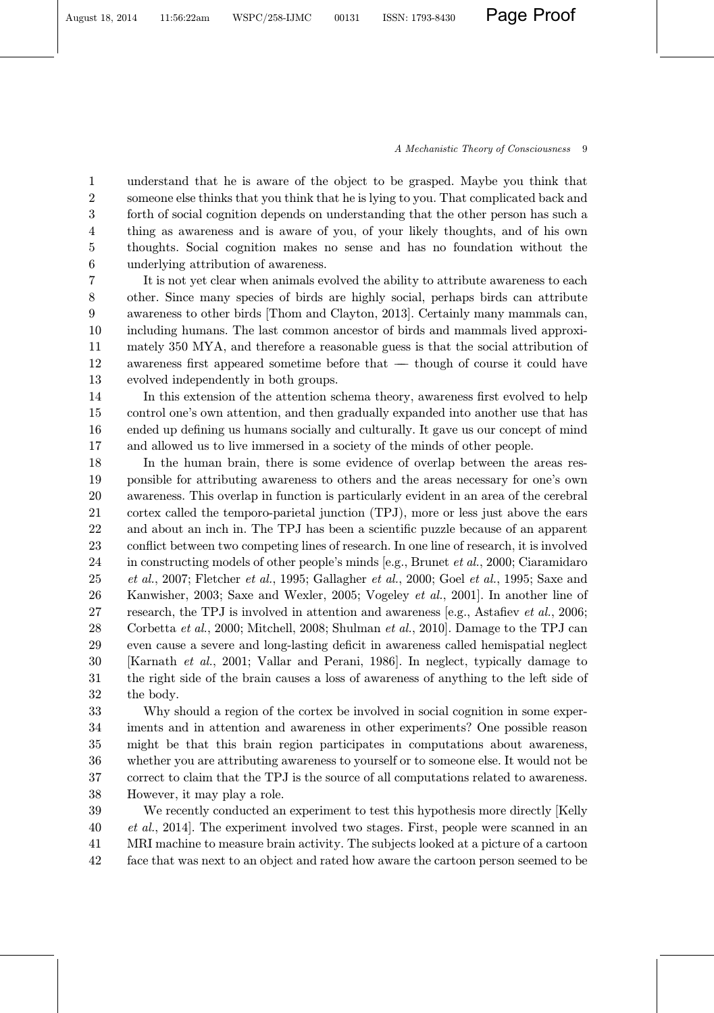A Mechanistic Theory of Consciousness 9

understand that he is aware of the object to be grasped. Maybe you think that someone else thinks that you think that he is lying to you. That complicated back and forth of social cognition depends on understanding that the other person has such a thing as awareness and is aware of you, of your likely thoughts, and of his own thoughts. Social cognition makes no sense and has no foundation without the underlying attribution of awareness. 1 2 3 4 5 6

It is not yet clear when animals evolved the ability to attribute awareness to each other. Since many species of birds are highly social, perhaps birds can attribute awareness to other birds [\[Thom and Clayton, 2013](#page-13-0)]. Certainly many mammals can, including humans. The last common ancestor of birds and mammals lived approximately 350 MYA, and therefore a reasonable guess is that the social attribution of awareness first appeared sometime before that — though of course it could have evolved independently in both groups. 7 8 9 10 11 12 13

In this extension of the attention schema theory, awareness first evolved to help control one's own attention, and then gradually expanded into another use that has ended up defining us humans socially and culturally. It gave us our concept of mind and allowed us to live immersed in a society of the minds of other people. 14 15 16 17

In the human brain, there is some evidence of overlap between the areas responsible for attributing awareness to others and the areas necessary for one's own awareness. This overlap in function is particularly evident in an area of the cerebral cortex called the temporo-parietal junction (TPJ), more or less just above the ears and about an inch in. The TPJ has been a scientific puzzle because of an apparent conflict between two competing lines of research. In one line of research, it is involved in constructing models of other people's minds [e.g., [Brunet](#page-10-0) et al., [2000;](#page-10-0) [Ciaramidaro](#page-11-0) [et al.](#page-11-0), [2007; Fletcher](#page-11-0) et al., [1995; Gallagher](#page-11-0) et al., [2000](#page-11-0); Goel [et al.](#page-11-0), [1995](#page-11-0); [Saxe and](#page-12-0) [Kanwisher, 2003](#page-12-0); [Saxe and Wexler, 2005](#page-12-0); [Vogeley](#page-13-0) et al., [2001\]](#page-13-0). In another line of research, the TPJ is involved in attention and awareness [e.g., Astafiev  $et$   $al.$ , [2006;](#page-10-0) [Corbetta](#page-11-0) et al., [2000;](#page-11-0) [Mitchell, 2008](#page-12-0); [Shulman](#page-13-0) et al., [2010\]](#page-13-0). Damage to the TPJ can even cause a severe and long-lasting deficit in awareness called hemispatial neglect [[Karnath](#page-11-0) et al., [2001;](#page-11-0) [Vallar and Perani, 1986](#page-13-0)]. In neglect, typically damage to the right side of the brain causes a loss of awareness of anything to the left side of the body. 18 19 20 21 22 23 24 25 26 27 28 29 30 31 32

Why should a region of the cortex be involved in social cognition in some experiments and in attention and awareness in other experiments? One possible reason might be that this brain region participates in computations about awareness, whether you are attributing awareness to yourself or to someone else. It would not be correct to claim that the TPJ is the source of all computations related to awareness. However, it may play a role. 33 34 35 36 37 38

We recently conducted an experiment to test this hypothesis more directly [[Kelly](#page-12-0) [et al.](#page-12-0), [2014](#page-12-0)]. The experiment involved two stages. First, people were scanned in an MRI machine to measure brain activity. The subjects looked at a picture of a cartoon face that was next to an object and rated how aware the cartoon person seemed to be 39 40 41 42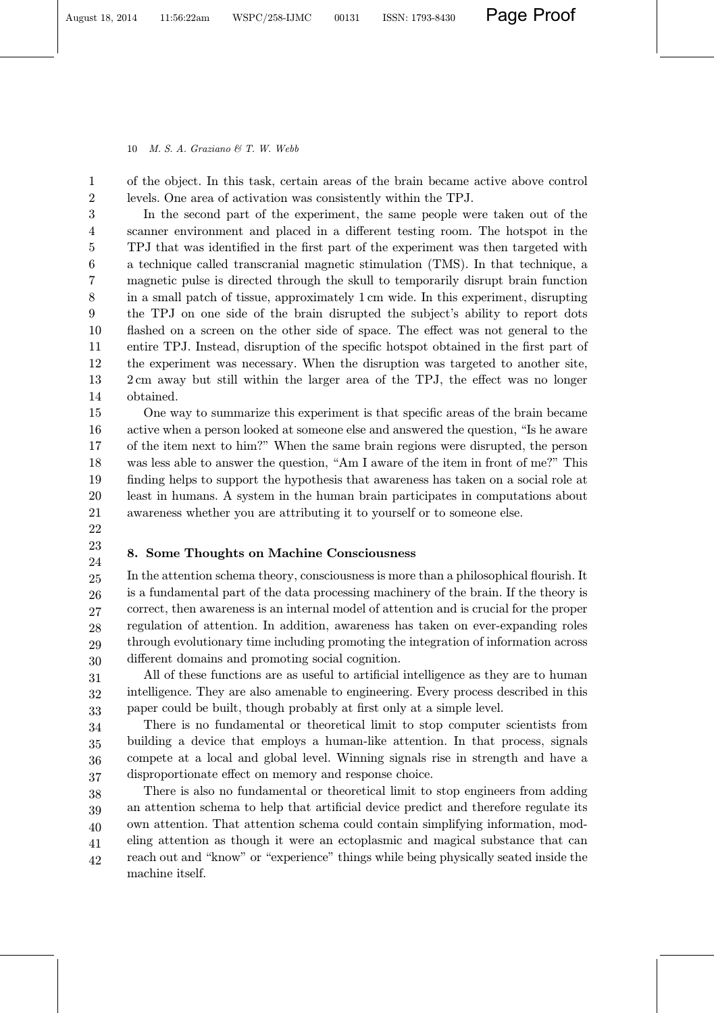of the object. In this task, certain areas of the brain became active above control levels. One area of activation was consistently within the TPJ. 1 2

In the second part of the experiment, the same people were taken out of the scanner environment and placed in a different testing room. The hotspot in the TPJ that was identified in the first part of the experiment was then targeted with a technique called transcranial magnetic stimulation (TMS). In that technique, a magnetic pulse is directed through the skull to temporarily disrupt brain function in a small patch of tissue, approximately 1 cm wide. In this experiment, disrupting the TPJ on one side of the brain disrupted the subject's ability to report dots flashed on a screen on the other side of space. The effect was not general to the entire TPJ. Instead, disruption of the specific hotspot obtained in the first part of the experiment was necessary. When the disruption was targeted to another site, 2 cm away but still within the larger area of the TPJ, the effect was no longer obtained. 3 4 5 6 7 8 9 10 11 12 13 14

One way to summarize this experiment is that specific areas of the brain became active when a person looked at someone else and answered the question, \Is he aware of the item next to him?" When the same brain regions were disrupted, the person was less able to answer the question, "Am I aware of the item in front of me?" This finding helps to support the hypothesis that awareness has taken on a social role at least in humans. A system in the human brain participates in computations about awareness whether you are attributing it to yourself or to someone else. 15 16 17 18 19 20 21

22 23

24

## 8. Some Thoughts on Machine Consciousness

In the attention schema theory, consciousness is more than a philosophical flourish. It is a fundamental part of the data processing machinery of the brain. If the theory is correct, then awareness is an internal model of attention and is crucial for the proper regulation of attention. In addition, awareness has taken on ever-expanding roles through evolutionary time including promoting the integration of information across different domains and promoting social cognition. 25 26 27 28 29 30

All of these functions are as useful to artificial intelligence as they are to human intelligence. They are also amenable to engineering. Every process described in this paper could be built, though probably at first only at a simple level. 31 32 33

There is no fundamental or theoretical limit to stop computer scientists from building a device that employs a human-like attention. In that process, signals compete at a local and global level. Winning signals rise in strength and have a disproportionate effect on memory and response choice. 34 35 36 37

There is also no fundamental or theoretical limit to stop engineers from adding an attention schema to help that artificial device predict and therefore regulate its own attention. That attention schema could contain simplifying information, modeling attention as though it were an ectoplasmic and magical substance that can reach out and "know" or "experience" things while being physically seated inside the machine itself. 38 39 40 41 42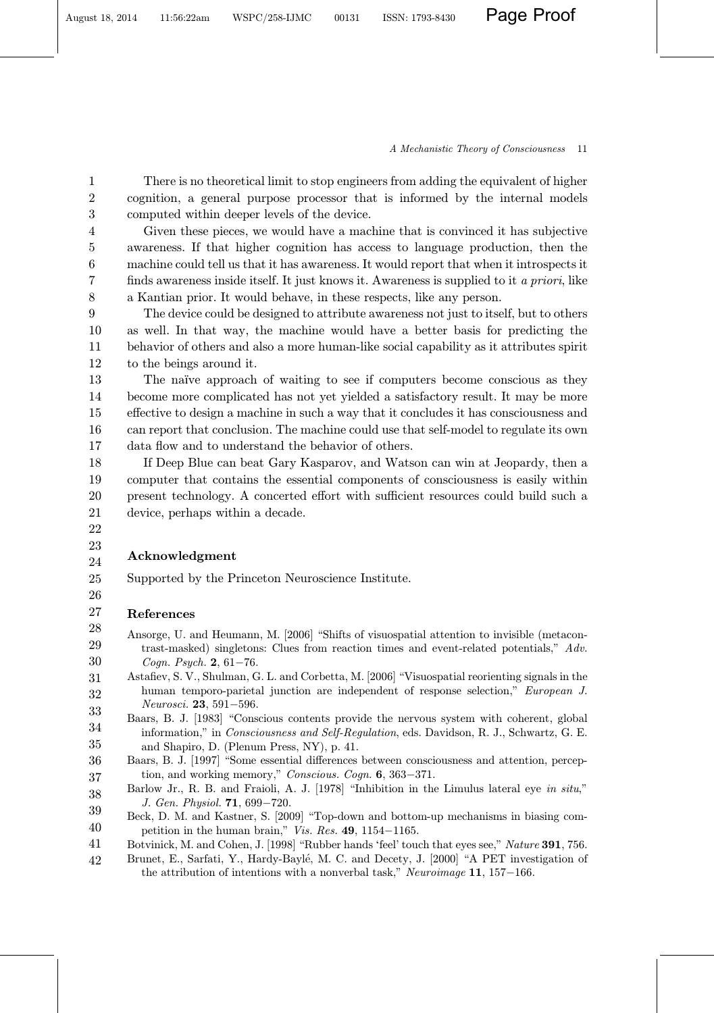<span id="page-10-0"></span>August 18, 2014 11:56:22am WSPC/258-IJMC 00131 ISSN: 1793-8430 **Page Proof** 

A Mechanistic Theory of Consciousness 11

There is no theoretical limit to stop engineers from adding the equivalent of higher cognition, a general purpose processor that is informed by the internal models computed within deeper levels of the device. 1 2 3

Given these pieces, we would have a machine that is convinced it has subjective awareness. If that higher cognition has access to language production, then the machine could tell us that it has awareness. It would report that when it introspects it finds awareness inside itself. It just knows it. Awareness is supplied to it a priori, like a Kantian prior. It would behave, in these respects, like any person. 6

The device could be designed to attribute awareness not just to itself, but to others as well. In that way, the machine would have a better basis for predicting the behavior of others and also a more human-like social capability as it attributes spirit to the beings around it. 9 10 11 12

The na*ï*ve approach of waiting to see if computers become conscious as they become more complicated has not yet yielded a satisfactory result. It may be more effective to design a machine in such a way that it concludes it has consciousness and can report that conclusion. The machine could use that self-model to regulate its own data flow and to understand the behavior of others. 13 14 15 16 17

If Deep Blue can beat Gary Kasparov, and Watson can win at Jeopardy, then a computer that contains the essential components of consciousness is easily within present technology. A concerted effort with sufficient resources could build such a device, perhaps within a decade. 18 19 20 21

22

4 5

7 8

#### Acknowledgment 23 24

Supported by the Princeton Neuroscience Institute. 25

## 26

#### References 27

- Ansorge, U. and Heumann, M. [2006] "Shifts of visuospatial attention to invisible (metacontrast-masked) singletons: Clues from reaction times and event-related potentials," Adv. *Cogn. Psych.*  $2, 61-76$ . 28 29 30
- Astafiev, S. V., Shulman, G. L. and Corbetta, M. [2006] "Visuospatial reorienting signals in the human temporo-parietal junction are independent of response selection," European J. Neurosci. 23, 591-596. 31 32 33
- Baars, B. J. [1983] "Conscious contents provide the nervous system with coherent, global information," in Consciousness and Self-Regulation, eds. Davidson, R. J., Schwartz, G. E. and Shapiro, D. (Plenum Press, NY), p. 41. 34 35
- Baars, B. J. [1997] "Some essential differences between consciousness and attention, perception, and working memory," Conscious. Cogn.  $6, 363-371$ . 36 37
- Barlow Jr., R. B. and Fraioli, A. J. [1978] "Inhibition in the Limulus lateral eye in situ," J. Gen. Physiol.  $71,699-720$ . 38 39
- Beck, D. M. and Kastner, S. [2009] "Top-down and bottom-up mechanisms in biasing competition in the human brain," Vis. Res.  $49$ , 1154-1165. 40
- Botvinick, M. and Cohen, J. [1998] "Rubber hands 'feel' touch that eyes see," Nature 391, 756. 41
- Brunet, E., Sarfati, Y., Hardy-Bayle, M. C. and Decety, J. [2000] \A PET investigation of the attribution of intentions with a nonverbal task," Neuroimage  $11$ ,  $157-166$ . 42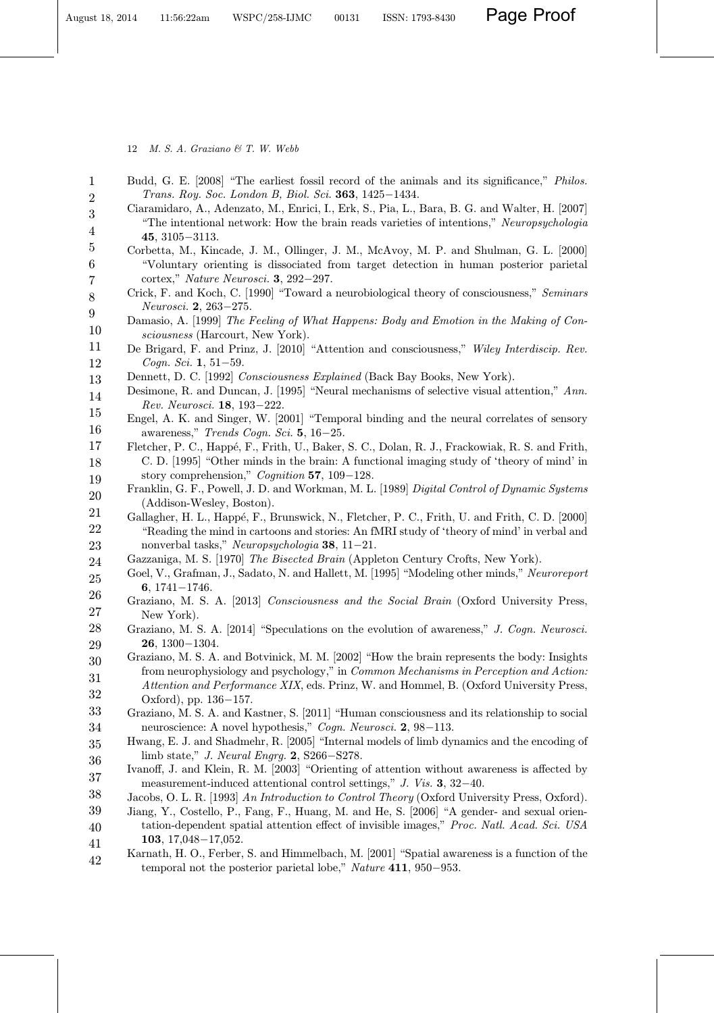<span id="page-11-0"></span>

| $\mathbf{1}$     | Budd, G. E. [2008] "The earliest fossil record of the animals and its significance," Philos.                             |
|------------------|--------------------------------------------------------------------------------------------------------------------------|
| $\boldsymbol{2}$ | Trans. Roy. Soc. London B, Biol. Sci. 363, 1425-1434.                                                                    |
| $\sqrt{3}$       | Ciaramidaro, A., Adenzato, M., Enrici, I., Erk, S., Pia, L., Bara, B. G. and Walter, H. [2007]                           |
| $\overline{4}$   | "The intentional network: How the brain reads varieties of intentions," Neuropsychologia                                 |
| $\overline{5}$   | $45, 3105 - 3113.$<br>Corbetta, M., Kincade, J. M., Ollinger, J. M., McAvoy, M. P. and Shulman, G. L. [2000]             |
| $\boldsymbol{6}$ | "Voluntary orienting is dissociated from target detection in human posterior parietal                                    |
| $\overline{7}$   | cortex," Nature Neurosci. 3, 292-297.                                                                                    |
|                  | Crick, F. and Koch, C. [1990] "Toward a neurobiological theory of consciousness," Seminars                               |
| $8\,$            | Neurosci. 2, 263-275.                                                                                                    |
| $\boldsymbol{9}$ | Damasio, A. [1999] The Feeling of What Happens: Body and Emotion in the Making of Con-                                   |
| 10               | sciousness (Harcourt, New York).                                                                                         |
| 11               | De Brigard, F. and Prinz, J. [2010] "Attention and consciousness," Wiley Interdiscip. Rev.                               |
| 12               | <i>Cogn. Sci.</i> $1, 51-59.$                                                                                            |
| 13               | Dennett, D. C. [1992] Consciousness Explained (Back Bay Books, New York).                                                |
| 14               | Desimone, R. and Duncan, J. [1995] "Neural mechanisms of selective visual attention," Ann.                               |
| 15               | Rev. Neurosci. 18, 193-222.                                                                                              |
|                  | Engel, A. K. and Singer, W. [2001] "Temporal binding and the neural correlates of sensory                                |
| 16               | awareness," Trends Cogn. Sci. 5, 16-25.                                                                                  |
| 17               | Fletcher, P. C., Happé, F., Frith, U., Baker, S. C., Dolan, R. J., Frackowiak, R. S. and Frith,                          |
| 18               | C. D. [1995] "Other minds in the brain: A functional imaging study of 'theory of mind' in                                |
| 19               | story comprehension," Cognition 57, 109-128.                                                                             |
| $20\,$           | Franklin, G. F., Powell, J. D. and Workman, M. L. [1989] Digital Control of Dynamic Systems<br>(Addison-Wesley, Boston). |
| 21               | Gallagher, H. L., Happé, F., Brunswick, N., Fletcher, P. C., Frith, U. and Frith, C. D. [2000]                           |
| $22\,$           | "Reading the mind in cartoons and stories: An fMRI study of 'theory of mind' in verbal and                               |
| $23\,$           | nonverbal tasks," Neuropsychologia 38, 11–21.                                                                            |
| $24\,$           | Gazzaniga, M. S. [1970] The Bisected Brain (Appleton Century Crofts, New York).                                          |
|                  | Goel, V., Grafman, J., Sadato, N. and Hallett, M. [1995] "Modeling other minds," Neuroreport                             |
| $25\,$           | $6, 1741 - 1746.$                                                                                                        |
| 26               | Graziano, M. S. A. [2013] Consciousness and the Social Brain (Oxford University Press,                                   |
| $27\,$           | New York).                                                                                                               |
| 28               | Graziano, M. S. A. [2014] "Speculations on the evolution of awareness," J. Cogn. Neurosci.                               |
| $29\,$           | $26, 1300 - 1304.$                                                                                                       |
| $30\,$           | Graziano, M. S. A. and Botvinick, M. M. [2002] "How the brain represents the body: Insights                              |
| 31               | from neurophysiology and psychology," in Common Mechanisms in Perception and Action:                                     |
| $32\,$           | Attention and Performance XIX, eds. Prinz, W. and Hommel, B. (Oxford University Press,                                   |
| 33               | Oxford), pp. 136–157.<br>Graziano, M. S. A. and Kastner, S. [2011] "Human consciousness and its relationship to social   |
| 34               | neuroscience: A novel hypothesis," Cogn. Neurosci. 2, 98-113.                                                            |
|                  | Hwang, E. J. and Shadmehr, R. [2005] "Internal models of limb dynamics and the encoding of                               |
| $35\,$           | limb state," J. Neural Engrg. 2, S266-S278.                                                                              |
| 36               | Ivanoff, J. and Klein, R. M. [2003] "Orienting of attention without awareness is affected by                             |
| $37\,$           | measurement-induced attentional control settings," $J. Vis. 3, 32-40.$                                                   |
| 38               | Jacobs, O. L. R. [1993] An Introduction to Control Theory (Oxford University Press, Oxford).                             |
| $39\,$           | Jiang, Y., Costello, P., Fang, F., Huang, M. and He, S. [2006] "A gender- and sexual orien-                              |
| 40               | tation-dependent spatial attention effect of invisible images," Proc. Natl. Acad. Sci. USA                               |
| 41               | 103, $17,048 - 17,052$ .                                                                                                 |
| 42               | Karnath, H. O., Ferber, S. and Himmelbach, M. [2001] "Spatial awareness is a function of the                             |
|                  | temporal not the posterior parietal lobe," Nature 411, 950-953.                                                          |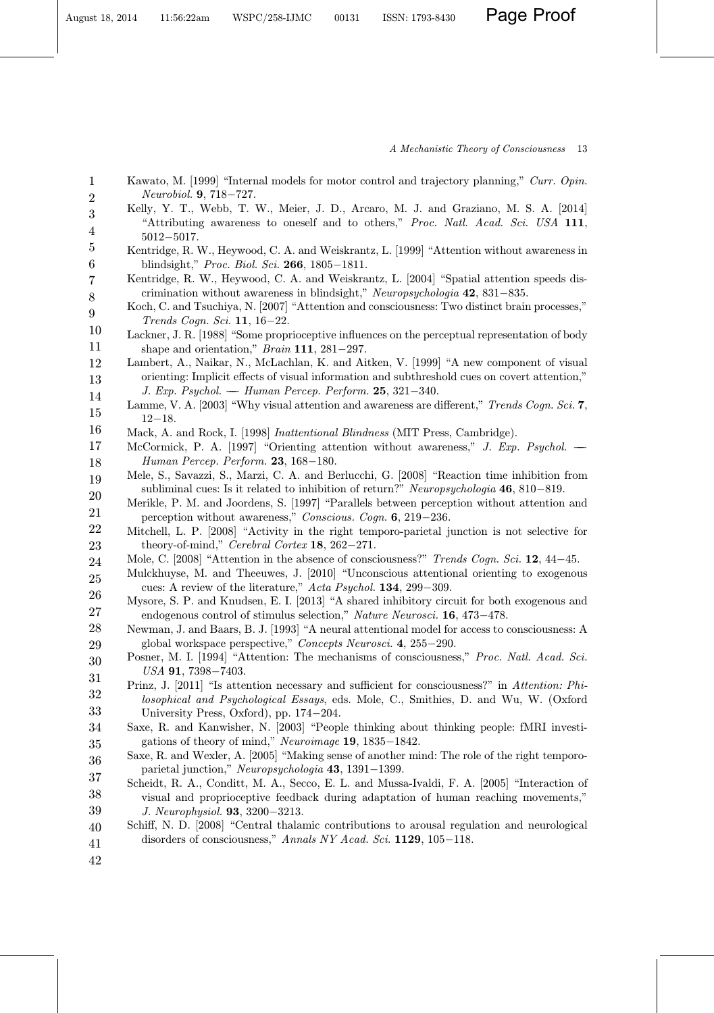<span id="page-12-0"></span>

A Mechanistic Theory of Consciousness 13

| $\mathbf{1}$     | Kawato, M. [1999] "Internal models for motor control and trajectory planning," Curr. Opin.                                                                  |
|------------------|-------------------------------------------------------------------------------------------------------------------------------------------------------------|
| $\boldsymbol{2}$ | Neurobiol. 9, 718-727.                                                                                                                                      |
| $\sqrt{3}$       | Kelly, Y. T., Webb, T. W., Meier, J. D., Arcaro, M. J. and Graziano, M. S. A. [2014]                                                                        |
| 4                | "Attributing awareness to oneself and to others," Proc. Natl. Acad. Sci. USA 111,<br>$5012 - 5017.$                                                         |
| $\overline{5}$   | Kentridge, R. W., Heywood, C. A. and Weiskrantz, L. [1999] "Attention without awareness in                                                                  |
| $\,6\,$          | blindsight," Proc. Biol. Sci. 266, 1805-1811.                                                                                                               |
| $\overline{7}$   | Kentridge, R. W., Heywood, C. A. and Weiskrantz, L. [2004] "Spatial attention speeds dis-                                                                   |
| $8\,$            | crimination without awareness in blindsight," Neuropsychologia 42, 831-835.                                                                                 |
| $\boldsymbol{9}$ | Koch, C. and Tsuchiya, N. [2007] "Attention and consciousness: Two distinct brain processes,"                                                               |
| 10               | Trends Cogn. Sci. 11, 16-22.                                                                                                                                |
| 11               | Lackner, J. R. [1988] "Some proprioceptive influences on the perceptual representation of body<br>shape and orientation," $Brain 111, 281-297$ .            |
| 12               | Lambert, A., Naikar, N., McLachlan, K. and Aitken, V. [1999] "A new component of visual                                                                     |
| 13               | orienting: Implicit effects of visual information and subthreshold cues on covert attention,"                                                               |
| 14               | J. Exp. Psychol. — Human Percep. Perform. 25, 321-340.                                                                                                      |
|                  | Lamme, V. A. [2003] "Why visual attention and awareness are different," Trends Cogn. Sci. 7,                                                                |
| 15               | $12 - 18.$                                                                                                                                                  |
| 16               | Mack, A. and Rock, I. [1998] Inattentional Blindness (MIT Press, Cambridge).                                                                                |
| 17               | McCormick, P. A. [1997] "Orienting attention without awareness," J. Exp. Psychol. —                                                                         |
| 18               | Human Percep. Perform. 23, 168-180.                                                                                                                         |
| 19               | Mele, S., Savazzi, S., Marzi, C. A. and Berlucchi, G. [2008] "Reaction time inhibition from                                                                 |
| $20\,$           | subliminal cues: Is it related to inhibition of return?" Neuropsychologia 46, 810-819.                                                                      |
| 21               | Merikle, P. M. and Joordens, S. [1997] "Parallels between perception without attention and                                                                  |
| $22\,$           | perception without awareness," Conscious. Cogn. 6, 219-236.<br>Mitchell, L. P. [2008] "Activity in the right temporo-parietal junction is not selective for |
| $23\,$           | theory-of-mind," Cerebral Cortex 18, 262-271.                                                                                                               |
|                  | Mole, C. [2008] "Attention in the absence of consciousness?" Trends Cogn. Sci. 12, 44–45.                                                                   |
| 24               | Mulckhuyse, M. and Theeuwes, J. [2010] "Unconscious attentional orienting to exogenous                                                                      |
| $25\,$           | cues: A review of the literature," Acta Psychol. 134, 299-309.                                                                                              |
| 26               | Mysore, S. P. and Knudsen, E. I. [2013] "A shared inhibitory circuit for both exogenous and                                                                 |
| 27               | endogenous control of stimulus selection," Nature Neurosci. 16, 473-478.                                                                                    |
| 28               | Newman, J. and Baars, B. J. [1993] "A neural attentional model for access to consciousness: A                                                               |
| 29               | global workspace perspective," Concepts Neurosci. 4, 255-290.                                                                                               |
| $30\,$           | Posner, M. I. [1994] "Attention: The mechanisms of consciousness," Proc. Natl. Acad. Sci.<br>USA 91, 7398-7403.                                             |
| 31               | Prinz, J. [2011] "Is attention necessary and sufficient for consciousness?" in Attention: Phi-                                                              |
| 32               | losophical and Psychological Essays, eds. Mole, C., Smithies, D. and Wu, W. (Oxford                                                                         |
| $33\,$           | University Press, Oxford), pp. 174-204.                                                                                                                     |
| 34               | Saxe, R. and Kanwisher, N. [2003] "People thinking about thinking people: fMRI investi-                                                                     |
| $35\,$           | gations of theory of mind," Neuroimage 19, 1835-1842.                                                                                                       |
| 36               | Saxe, R. and Wexler, A. [2005] "Making sense of another mind: The role of the right temporo-<br>parietal junction," Neuropsychologia 43, 1391-1399.         |
| 37               | Scheidt, R. A., Conditt, M. A., Secco, E. L. and Mussa-Ivaldi, F. A. [2005] "Interaction of                                                                 |
| $38\,$           | visual and proprioceptive feedback during adaptation of human reaching movements,"                                                                          |
| $39\,$           | J. Neurophysiol. <b>93</b> , 3200-3213.                                                                                                                     |
| 40               | Schiff, N. D. [2008] "Central thalamic contributions to arousal regulation and neurological                                                                 |
| 41               | disorders of consciousness," Annals NY Acad. Sci. 1129, 105-118.                                                                                            |
| 42               |                                                                                                                                                             |
|                  |                                                                                                                                                             |